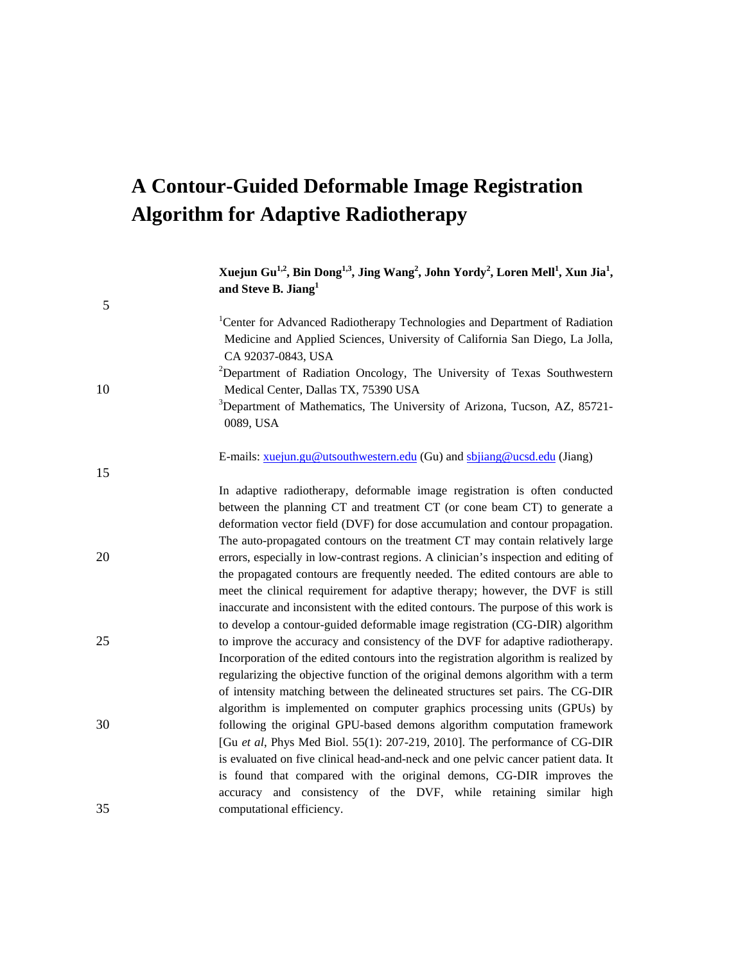# **A Contour-Guided Deformable Image Registration Algorithm for Adaptive Radiotherapy**

5

15

**Xuejun Gu1,2, Bin Dong1,3 , Jing Wang<sup>2</sup> , John Yordy<sup>2</sup> , Loren Mell1 , Xun Jia<sup>1</sup> , and Steve B. Jiang<sup>1</sup>**

<sup>1</sup>Center for Advanced Radiotherapy Technologies and Department of Radiation Medicine and Applied Sciences, University of California San Diego, La Jolla, CA 92037-0843, USA

<sup>2</sup>Department of Radiation Oncology, The University of Texas Southwestern 10 Medical Center, Dallas TX, 75390 USA

> <sup>3</sup>Department of Mathematics, The University of Arizona, Tucson, AZ, 85721-0089, USA

E-mails: [xuejun.gu@utsouthwestern.edu](mailto:xuejun.gu@utsouthwestern.edu) (Gu) and [sbjiang@ucsd.edu](mailto:sbjiang@ucsd.edu) (Jiang)

In adaptive radiotherapy, deformable image registration is often conducted between the planning CT and treatment CT (or cone beam CT) to generate a deformation vector field (DVF) for dose accumulation and contour propagation. The auto-propagated contours on the treatment CT may contain relatively large 20 errors, especially in low-contrast regions. A clinician's inspection and editing of the propagated contours are frequently needed. The edited contours are able to meet the clinical requirement for adaptive therapy; however, the DVF is still inaccurate and inconsistent with the edited contours. The purpose of this work is to develop a contour-guided deformable image registration (CG-DIR) algorithm 25 to improve the accuracy and consistency of the DVF for adaptive radiotherapy. Incorporation of the edited contours into the registration algorithm is realized by regularizing the objective function of the original demons algorithm with a term of intensity matching between the delineated structures set pairs. The CG-DIR algorithm is implemented on computer graphics processing units (GPUs) by 30 following the original GPU-based demons algorithm computation framework [Gu *et al*, Phys Med Biol. 55(1): 207-219, 2010]. The performance of CG-DIR is evaluated on five clinical head-and-neck and one pelvic cancer patient data. It is found that compared with the original demons, CG-DIR improves the accuracy and consistency of the DVF, while retaining similar high 35 computational efficiency.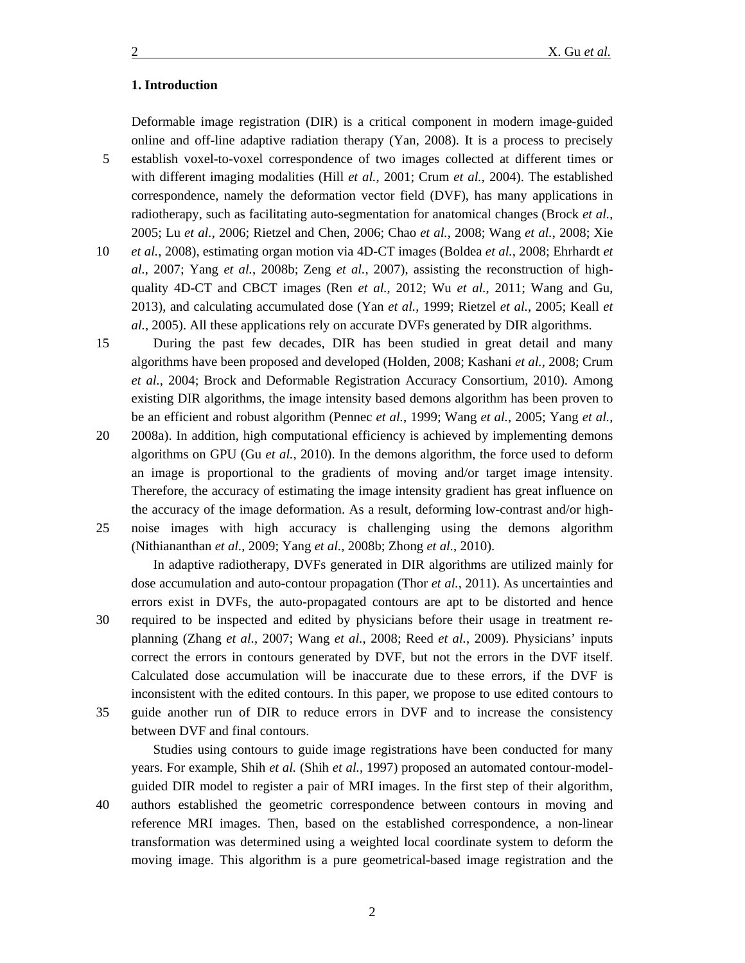## **1. Introduction**

Deformable image registration (DIR) is a critical component in modern image-guided online and off-line adaptive radiation therapy [\(Yan, 2008\)](#page-14-0). It is a process to precisely 5 establish voxel-to-voxel correspondence of two images collected at different times or with different imaging modalities (Hill *et al.*[, 2001;](#page-13-0) Crum *et al.*[, 2004\)](#page-13-1). The established correspondence, namely the deformation vector field (DVF), has many applications in radiotherapy, such as facilitating auto-segmentation for anatomical changes [\(Brock](#page-13-2) *et al.*, [2005;](#page-13-2) Lu *et al.*[, 2006;](#page-13-3) [Rietzel and Chen, 2006;](#page-14-1) Chao *et al.*[, 2008;](#page-13-4) Wang *et al.*[, 2008;](#page-14-2) [Xie](#page-14-3) 10 *et al.*[, 2008\)](#page-14-3), estimating organ motion via 4D-CT images [\(Boldea](#page-13-5) *et al.*, 2008; [Ehrhardt](#page-13-6) *et al.*[, 2007;](#page-13-6) Yang *et al.*[, 2008b;](#page-14-4) Zeng *et al.*[, 2007\)](#page-15-0), assisting the reconstruction of high-

quality 4D-CT and CBCT images (Ren *et al.*[, 2012;](#page-14-5) Wu *et al.*[, 2011;](#page-14-6) [Wang and Gu,](#page-14-7)  [2013\)](#page-14-7), and calculating accumulated dose (Yan *et al.*[, 1999;](#page-14-8) [Rietzel](#page-14-9) *et al.*, 2005; [Keall](#page-13-7) *et al.*[, 2005\)](#page-13-7). All these applications rely on accurate DVFs generated by DIR algorithms.

15 During the past few decades, DIR has been studied in great detail and many algorithms have been proposed and developed [\(Holden, 2008;](#page-13-8) [Kashani](#page-13-9) *et al.*, 2008; [Crum](#page-13-1) *et al.*[, 2004;](#page-13-1) [Brock and Deformable Registration Accuracy Consortium, 2010\)](#page-13-10). Among existing DIR algorithms, the image intensity based demons algorithm has been proven to be an efficient and robust algorithm [\(Pennec](#page-13-11) *et al.*, 1999; Wang *et al.*[, 2005;](#page-14-10) [Yang](#page-14-11) *et al.*,

20 [2008a\)](#page-14-11). In addition, high computational efficiency is achieved by implementing demons algorithms on GPU (Gu *et al.*[, 2010\)](#page-13-12). In the demons algorithm, the force used to deform an image is proportional to the gradients of moving and/or target image intensity. Therefore, the accuracy of estimating the image intensity gradient has great influence on the accuracy of the image deformation. As a result, deforming low-contrast and/or high-25 noise images with high accuracy is challenging using the demons algorithm

[\(Nithiananthan](#page-13-13) *et al.*, 2009; Yang *et al.*[, 2008b;](#page-14-4) [Zhong](#page-15-1) *et al.*, 2010).

In adaptive radiotherapy, DVFs generated in DIR algorithms are utilized mainly for dose accumulation and auto-contour propagation (Thor *et al.*[, 2011\)](#page-14-12). As uncertainties and errors exist in DVFs, the auto-propagated contours are apt to be distorted and hence 30 required to be inspected and edited by physicians before their usage in treatment replanning (Zhang *et al.*[, 2007;](#page-15-2) Wang *et al.*[, 2008;](#page-14-2) Reed *et al.*[, 2009\)](#page-13-14). Physicians' inputs correct the errors in contours generated by DVF, but not the errors in the DVF itself. Calculated dose accumulation will be inaccurate due to these errors, if the DVF is inconsistent with the edited contours. In this paper, we propose to use edited contours to 35 guide another run of DIR to reduce errors in DVF and to increase the consistency between DVF and final contours.

Studies using contours to guide image registrations have been conducted for many years. For example, Shih *et al.* (Shih *et al.*[, 1997\)](#page-14-13) proposed an automated contour-modelguided DIR model to register a pair of MRI images. In the first step of their algorithm, 40 authors established the geometric correspondence between contours in moving and reference MRI images. Then, based on the established correspondence, a non-linear transformation was determined using a weighted local coordinate system to deform the moving image. This algorithm is a pure geometrical-based image registration and the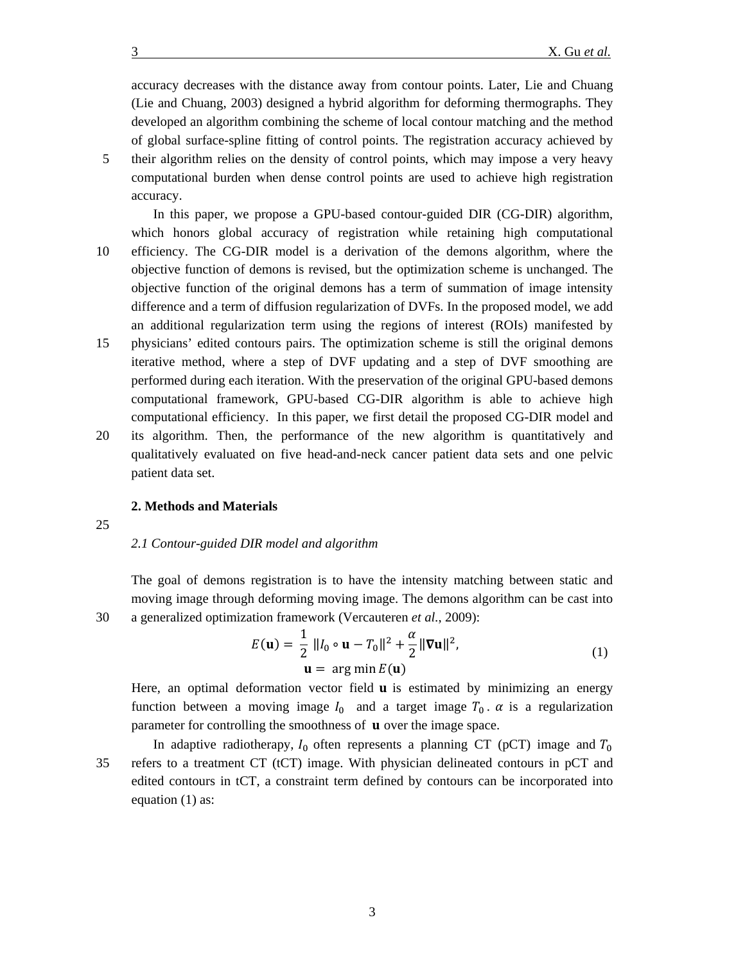accuracy decreases with the distance away from contour points. Later, Lie and Chuang [\(Lie and Chuang, 2003\)](#page-13-15) designed a hybrid algorithm for deforming thermographs. They developed an algorithm combining the scheme of local contour matching and the method of global surface-spline fitting of control points. The registration accuracy achieved by 5 their algorithm relies on the density of control points, which may impose a very heavy computational burden when dense control points are used to achieve high registration accuracy.

In this paper, we propose a GPU-based contour-guided DIR (CG-DIR) algorithm, which honors global accuracy of registration while retaining high computational 10 efficiency. The CG-DIR model is a derivation of the demons algorithm, where the objective function of demons is revised, but the optimization scheme is unchanged. The objective function of the original demons has a term of summation of image intensity difference and a term of diffusion regularization of DVFs. In the proposed model, we add an additional regularization term using the regions of interest (ROIs) manifested by

- 15 physicians' edited contours pairs. The optimization scheme is still the original demons iterative method, where a step of DVF updating and a step of DVF smoothing are performed during each iteration. With the preservation of the original GPU-based demons computational framework, GPU-based CG-DIR algorithm is able to achieve high computational efficiency. In this paper, we first detail the proposed CG-DIR model and
- 20 its algorithm. Then, the performance of the new algorithm is quantitatively and qualitatively evaluated on five head-and-neck cancer patient data sets and one pelvic patient data set.

#### **2. Methods and Materials**

25

## *2.1 Contour-guided DIR model and algorithm*

The goal of demons registration is to have the intensity matching between static and moving image through deforming moving image. The demons algorithm can be cast into 30 a generalized optimization framework [\(Vercauteren](#page-14-14) *et al.*, 2009):

$$
E(\mathbf{u}) = \frac{1}{2} ||I_0 \circ \mathbf{u} - T_0||^2 + \frac{\alpha}{2} ||\nabla \mathbf{u}||^2,
$$
  
\n
$$
\mathbf{u} = \arg\min E(\mathbf{u})
$$
\n(1)

Here, an optimal deformation vector field  **is estimated by minimizing an energy** function between a moving image  $I_0$  and a target image  $T_0$ .  $\alpha$  is a regularization parameter for controlling the smoothness of  $\mathbf u$  over the image space.

In adaptive radiotherapy,  $I_0$  often represents a planning CT (pCT) image and  $T_0$ 35 refers to a treatment CT (tCT) image. With physician delineated contours in pCT and edited contours in tCT, a constraint term defined by contours can be incorporated into equation (1) as: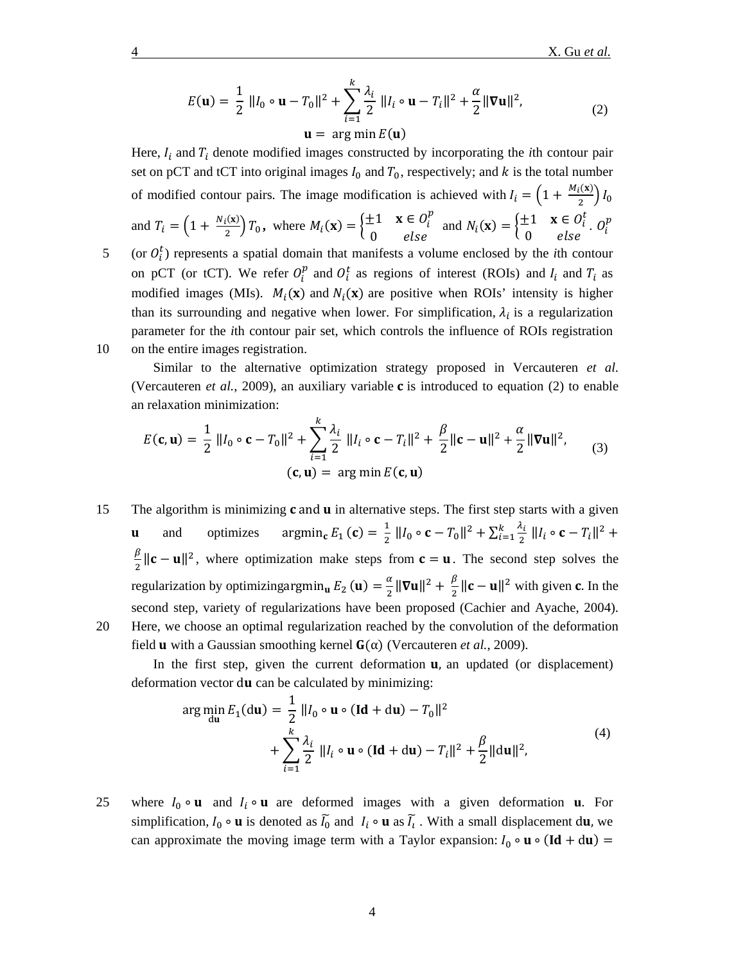$$
E(\mathbf{u}) = \frac{1}{2} ||I_0 \circ \mathbf{u} - T_0||^2 + \sum_{i=1}^{k} \frac{\lambda_i}{2} ||I_i \circ \mathbf{u} - T_i||^2 + \frac{\alpha}{2} ||\nabla \mathbf{u}||^2,
$$
  

$$
\mathbf{u} = \arg\min E(\mathbf{u})
$$
 (2)

Here,  $I_i$  and  $T_i$  denote modified images constructed by incorporating the *i*th contour pair set on pCT and tCT into original images  $I_0$  and  $T_0$ , respectively; and  $k$  is the total number of modified contour pairs. The image modification is achieved with  $I_i = \left(1 + \frac{M_i(x)}{2}\right)I_0$ and  $T_i = \left(1 + \frac{N_i(x)}{2}\right)T_0$ , where  $M_i(\mathbf{x}) = \begin{cases} \pm 1 & \mathbf{x} \in O_i^p \\ 0 & \text{else} \end{cases}$  $E_1 \quad \mathbf{x} \in O_i^P$  and  $N_i(\mathbf{x}) = \begin{cases} \pm 1 & \mathbf{x} \in O_i^t \\ 0 & else \end{cases}$ .  $O_i^P$  $5$  (or  $O_i^t$ ) represents a spatial domain that manifests a volume enclosed by the *i*th contour on pCT (or tCT). We refer  $O_i^p$  and  $O_i^t$  as regions of interest (ROIs) and  $I_i$  and  $T_i$  as modified images (MIs).  $M_i(x)$  and  $N_i(x)$  are positive when ROIs' intensity is higher than its surrounding and negative when lower. For simplification,  $\lambda_i$  is a regularization parameter for the *i*th contour pair set, which controls the influence of ROIs registration

10 on the entire images registration.

Similar to the alternative optimization strategy proposed in Vercauteren *et al*. [\(Vercauteren](#page-14-14) *et al.*, 2009), an auxiliary variable  $\bf{c}$  is introduced to equation (2) to enable an relaxation minimization:

$$
E(\mathbf{c}, \mathbf{u}) = \frac{1}{2} ||I_0 \circ \mathbf{c} - T_0||^2 + \sum_{i=1}^k \frac{\lambda_i}{2} ||I_i \circ \mathbf{c} - T_i||^2 + \frac{\beta}{2} ||\mathbf{c} - \mathbf{u}||^2 + \frac{\alpha}{2} ||\nabla \mathbf{u}||^2, \qquad (3)
$$
  

$$
(\mathbf{c}, \mathbf{u}) = \arg \min E(\mathbf{c}, \mathbf{u})
$$

15 The algorithm is minimizing  $c$  and  $u$  in alternative steps. The first step starts with a given **u** and optimizes  $\operatorname{argmin}_{\mathbf{c}} E_1(\mathbf{c}) = \frac{1}{2} ||I_0 \circ \mathbf{c} - T_0||^2 + \sum_{i=1}^k \frac{\lambda_i}{2} ||I_i \circ \mathbf{c} - T_i||^2 +$  $\frac{\beta}{2} ||\mathbf{c} - \mathbf{u}||^2$ , where optimization make steps from  $\mathbf{c} = \mathbf{u}$ . The second step solves the regularization by optimizingargmin<sub>u</sub>  $E_2$  (**u**) =  $\frac{\alpha}{2} ||\nabla u||^2 + \frac{\beta}{2} ||c - u||^2$  with given **c**. In the second step, variety of regularizations have been proposed [\(Cachier and Ayache, 2004\)](#page-13-16). 20 Here, we choose an optimal regularization reached by the convolution of the deformation field **u** with a Gaussian smoothing kernel  $G(\alpha)$  [\(Vercauteren](#page-14-14) *et al.*, 2009).

In the first step, given the current deformation  $\mathbf{u}$ , an updated (or displacement) deformation vector  $du$  can be calculated by minimizing:

$$
\arg\min_{du} E_1(du) = \frac{1}{2} ||I_0 \circ u \circ (Id + du) - T_0||^2
$$
  
+ 
$$
\sum_{i=1}^{k} \frac{\lambda_i}{2} ||I_i \circ u \circ (Id + du) - T_i||^2 + \frac{\beta}{2} ||du||^2,
$$
 (4)

25 where  $I_0 \circ \mathbf{u}$  and  $I_i \circ \mathbf{u}$  are deformed images with a given deformation **u**. For simplification,  $I_0 \circ \mathbf{u}$  is denoted as  $\overline{I_0}$  and  $I_i \circ \mathbf{u}$  as  $\overline{I_i}$ . With a small displacement du, we can approximate the moving image term with a Taylor expansion:  $I_0 \circ \mathbf{u} \circ (\mathbf{Id} + d\mathbf{u}) =$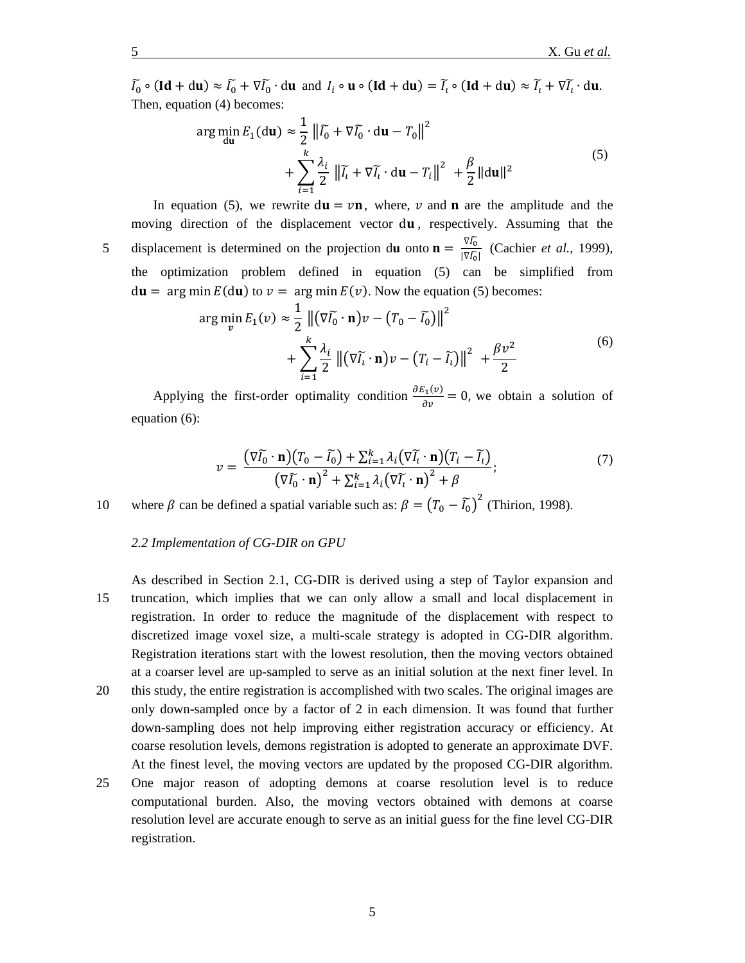$\tilde{I}_0 \circ (\mathbf{Id} + \mathrm{d}\mathbf{u}) \approx \tilde{I}_0 + \nabla \tilde{I}_0 \cdot \mathrm{d}\mathbf{u}$  and  $I_i \circ \mathbf{u} \circ (\mathbf{Id} + \mathrm{d}\mathbf{u}) = \tilde{I}_i \circ (\mathbf{Id} + \mathrm{d}\mathbf{u}) \approx \tilde{I}_i + \nabla \tilde{I}_i \cdot \mathrm{d}\mathbf{u}$ . Then, equation (4) becomes:

$$
\arg\min_{\text{du}} E_1(\text{du}) \approx \frac{1}{2} \left\| \tilde{I}_0 + \nabla \tilde{I}_0 \cdot \text{du} - T_0 \right\|^2
$$
  
+ 
$$
\sum_{i=1}^k \frac{\lambda_i}{2} \left\| \tilde{I}_i + \nabla \tilde{I}_i \cdot \text{du} - T_i \right\|^2 + \frac{\beta}{2} \| \text{du} \|^2
$$
 (5)

moving direction of the displacement vector du, respectively. Assuming that the displacement is determined on the projection du onto  $\mathbf{n} = \frac{\nabla I_0}{\nabla \zeta}$ 5 displacement is determined on the projection du onto  $\mathbf{n} = \frac{v_{t0}}{|\nabla \overline{t_0}|}$  [\(Cachier](#page-13-17) *et al.*, 1999), the optimization problem defined in equation (5) can be simplified from  $du = arg min E(du)$  to  $v = arg min E(v)$ . Now the equation (5) becomes:

In equation (5), we rewrite  $du = v\mathbf{n}$ , where, v and **n** are the amplitude and the

$$
\arg\min_{v} E_1(v) \approx \frac{1}{2} ||(\nabla \widetilde{I_0} \cdot \mathbf{n})v - (T_0 - \widetilde{I_0})||^2
$$
  
+ 
$$
\sum_{i=1}^{k} \frac{\lambda_i}{2} ||(\nabla \widetilde{I_i} \cdot \mathbf{n})v - (T_i - \widetilde{I_i})||^2 + \frac{\beta v^2}{2}
$$
 (6)

Applying the first-order optimality condition  $\frac{\partial E_1(v)}{\partial v} = 0$ , we obtain a solution of equation (6):

$$
v = \frac{(\nabla \widetilde{I_0} \cdot \mathbf{n})(T_0 - \widetilde{I_0}) + \sum_{i=1}^k \lambda_i (\nabla \widetilde{I_i} \cdot \mathbf{n})(T_i - \widetilde{I_i})}{(\nabla \widetilde{I_0} \cdot \mathbf{n})^2 + \sum_{i=1}^k \lambda_i (\nabla \widetilde{I_i} \cdot \mathbf{n})^2 + \beta};\tag{7}
$$

10 where  $\beta$  can be defined a spatial variable such as:  $\beta = (T_0 - \tilde{I}_0)^2$  [\(Thirion, 1998\)](#page-14-15).

# *2.2 Implementation of CG-DIR on GPU*

- As described in Section 2.1, CG-DIR is derived using a step of Taylor expansion and 15 truncation, which implies that we can only allow a small and local displacement in registration. In order to reduce the magnitude of the displacement with respect to discretized image voxel size, a multi-scale strategy is adopted in CG-DIR algorithm. Registration iterations start with the lowest resolution, then the moving vectors obtained at a coarser level are up-sampled to serve as an initial solution at the next finer level. In
- 20 this study, the entire registration is accomplished with two scales. The original images are only down-sampled once by a factor of 2 in each dimension. It was found that further down-sampling does not help improving either registration accuracy or efficiency. At coarse resolution levels, demons registration is adopted to generate an approximate DVF. At the finest level, the moving vectors are updated by the proposed CG-DIR algorithm.
- 25 One major reason of adopting demons at coarse resolution level is to reduce computational burden. Also, the moving vectors obtained with demons at coarse resolution level are accurate enough to serve as an initial guess for the fine level CG-DIR registration.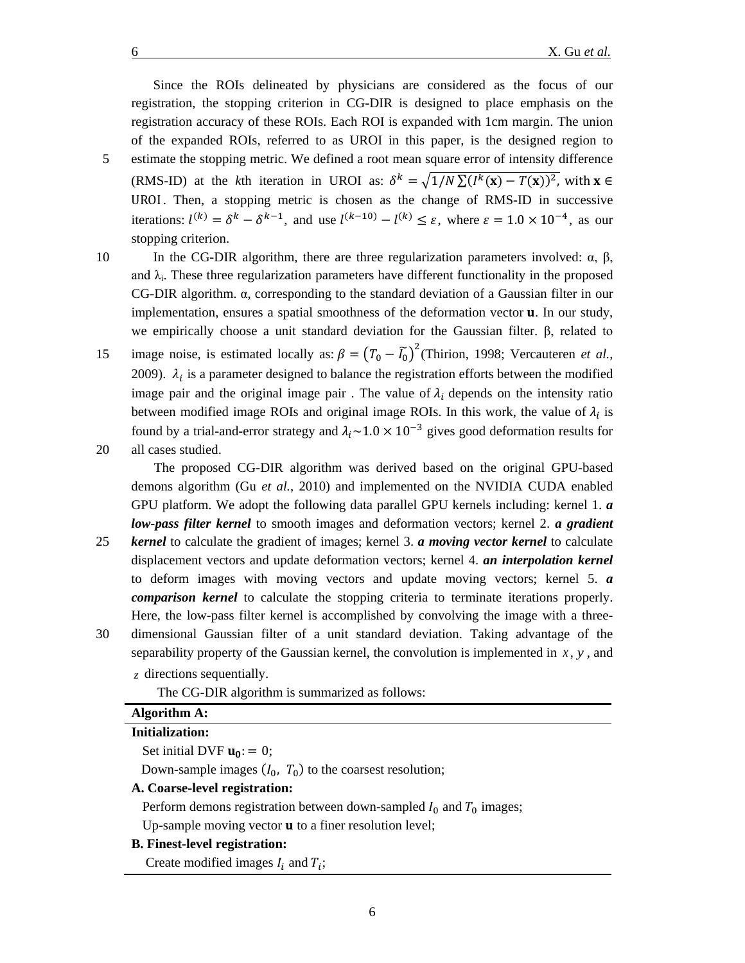Since the ROIs delineated by physicians are considered as the focus of our registration, the stopping criterion in CG-DIR is designed to place emphasis on the registration accuracy of these ROIs. Each ROI is expanded with 1cm margin. The union of the expanded ROIs, referred to as UROI in this paper, is the designed region to 5 estimate the stopping metric. We defined a root mean square error of intensity difference (RMS-ID) at the *k*th iteration in UROI as:  $\delta^k = \sqrt{1/N} \sum (I^k(\mathbf{x}) - T(\mathbf{x}))^2$ , with  $\mathbf{x} \in$ UROI. Then, a stopping metric is chosen as the change of RMS-ID in successive iterations:  $l^{(k)} = \delta^k - \delta^{k-1}$ , and use  $l^{(k-10)} - l^{(k)} \leq \varepsilon$ , where  $\varepsilon = 1.0 \times 10^{-4}$ , as our stopping criterion.

- 
- 10 In the CG-DIR algorithm, there are three regularization parameters involved:  $\alpha$ ,  $\beta$ , and  $\lambda_i$ . These three regularization parameters have different functionality in the proposed CG-DIR algorithm. α, corresponding to the standard deviation of a Gaussian filter in our implementation, ensures a spatial smoothness of the deformation vector **u**. In our study, we empirically choose a unit standard deviation for the Gaussian filter. β, related to image noise, is estimated locally as:  $\beta = (T_0 - \tilde{I_0})^2$  [\(Thirion, 1998;](#page-14-15) [Vercauteren](#page-14-14) *et al.*, [2009\)](#page-14-14).  $\lambda_i$  is a parameter designed to balance the registration efforts between the modified image pair and the original image pair. The value of  $\lambda_i$  depends on the intensity ratio between modified image ROIs and original image ROIs. In this work, the value of  $\lambda_i$  is found by a trial-and-error strategy and  $\lambda_i$  ~1.0 × 10<sup>-3</sup> gives good deformation results for
- 20 all cases studied.

The proposed CG-DIR algorithm was derived based on the original GPU-based demons algorithm (Gu *et al.*[, 2010\)](#page-13-12) and implemented on the NVIDIA CUDA enabled GPU platform. We adopt the following data parallel GPU kernels including: kernel 1. *a low-pass filter kernel* to smooth images and deformation vectors; kernel 2. *a gradient* 

- 25 *kernel* to calculate the gradient of images; kernel 3. *a moving vector kernel* to calculate displacement vectors and update deformation vectors; kernel 4. *an interpolation kernel* to deform images with moving vectors and update moving vectors; kernel 5. *a comparison kernel* to calculate the stopping criteria to terminate iterations properly. Here, the low-pass filter kernel is accomplished by convolving the image with a three-
- 30 dimensional Gaussian filter of a unit standard deviation. Taking advantage of the

separability property of the Gaussian kernel, the convolution is implemented in  $x$ ,  $y$ , and *z* directions sequentially.

The CG-DIR algorithm is summarized as follows:

# **Algorithm A:**

#### **Initialization:**

#### Set initial DVF  $\mathbf{u}_0 := 0$ ;

Down-sample images  $(I_0, T_0)$  to the coarsest resolution;

## **A. Coarse-level registration:**

Perform demons registration between down-sampled  $I_0$  and  $T_0$  images;

Up-sample moving vector  **to a finer resolution level;** 

### **B. Finest-level registration:**

Create modified images  $I_i$  and  $T_i$ ;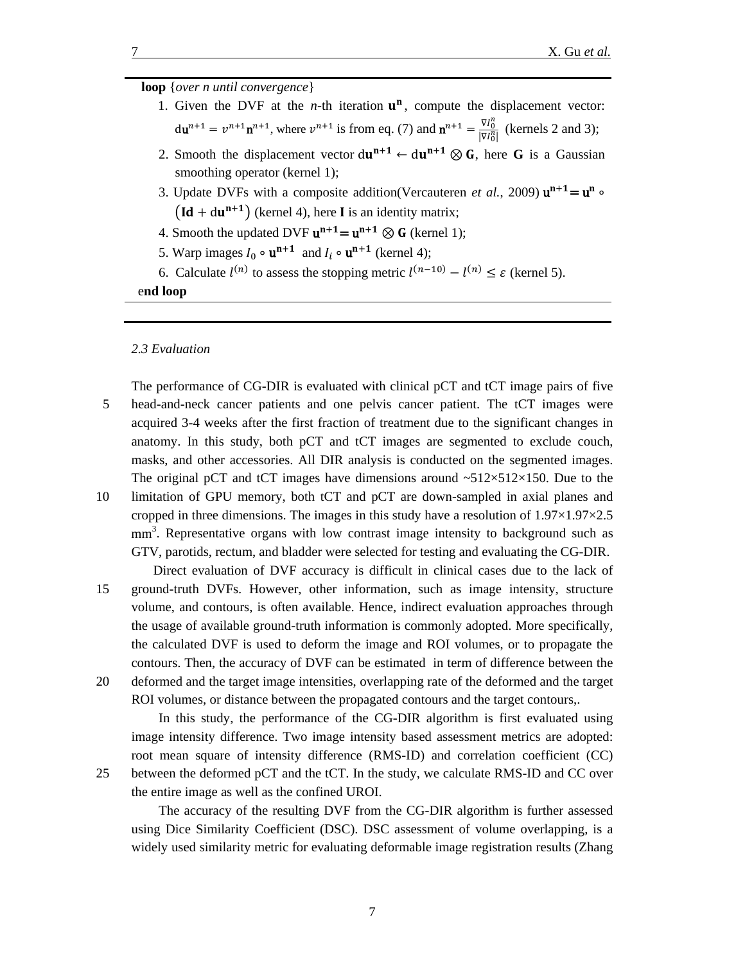# **loop** {*over n until convergence*}

- 1. Given the DVF at the *n*-th iteration  $\mathbf{u}^n$ , compute the displacement vector:  $du^{n+1} = v^{n+1}n^{n+1}$ , where  $v^{n+1}$  is from eq. (7) and  $n^{n+1} = \frac{\nabla l_0^n}{|\nabla l_0^n|}$  $\frac{v_{10}}{|\nabla l_0^n|}$  (kernels 2 and 3);
- 2. Smooth the displacement vector  $du^{n+1} \leftarrow du^{n+1} \otimes G$ , here G is a Gaussian smoothing operator (kernel 1);
- 3. Update DVFs with a composite addition[\(Vercauteren](#page-14-14) *et al.*, 2009)  $\mathbf{u}^{\mathbf{n+1}} = \mathbf{u}^{\mathbf{n}} \circ$  $(\text{Id} + du^{n+1})$  (kernel 4), here I is an identity matrix;
- 4. Smooth the updated DVF  $u^{n+1} = u^{n+1} \otimes G$  (kernel 1);
- 5. Warp images  $I_0 \circ \mathbf{u}^{n+1}$  and  $I_i \circ \mathbf{u}^{n+1}$  (kernel 4);
- 6. Calculate  $l^{(n)}$  to assess the stopping metric  $l^{(n-10)} l^{(n)} \leq \varepsilon$  (kernel 5).

e**nd loop**

#### *2.3 Evaluation*

- The performance of CG-DIR is evaluated with clinical pCT and tCT image pairs of five 5 head-and-neck cancer patients and one pelvis cancer patient. The tCT images were acquired 3-4 weeks after the first fraction of treatment due to the significant changes in anatomy. In this study, both pCT and tCT images are segmented to exclude couch, masks, and other accessories. All DIR analysis is conducted on the segmented images. The original pCT and tCT images have dimensions around  $\sim 512 \times 512 \times 150$ . Due to the
- 10 limitation of GPU memory, both tCT and pCT are down-sampled in axial planes and cropped in three dimensions. The images in this study have a resolution of  $1.97 \times 1.97 \times 2.5$ mm<sup>3</sup>. Representative organs with low contrast image intensity to background such as GTV, parotids, rectum, and bladder were selected for testing and evaluating the CG-DIR. Direct evaluation of DVF accuracy is difficult in clinical cases due to the lack of
- 15 ground-truth DVFs. However, other information, such as image intensity, structure volume, and contours, is often available. Hence, indirect evaluation approaches through the usage of available ground-truth information is commonly adopted. More specifically, the calculated DVF is used to deform the image and ROI volumes, or to propagate the contours. Then, the accuracy of DVF can be estimated in term of difference between the 20 deformed and the target image intensities, overlapping rate of the deformed and the target
- ROI volumes, or distance between the propagated contours and the target contours,.

In this study, the performance of the CG-DIR algorithm is first evaluated using image intensity difference. Two image intensity based assessment metrics are adopted: root mean square of intensity difference (RMS-ID) and correlation coefficient (CC) 25 between the deformed pCT and the tCT. In the study, we calculate RMS-ID and CC over the entire image as well as the confined UROI.

The accuracy of the resulting DVF from the CG-DIR algorithm is further assessed using Dice Similarity Coefficient (DSC). DSC assessment of volume overlapping, is a widely used similarity metric for evaluating deformable image registration results [\(Zhang](#page-15-2)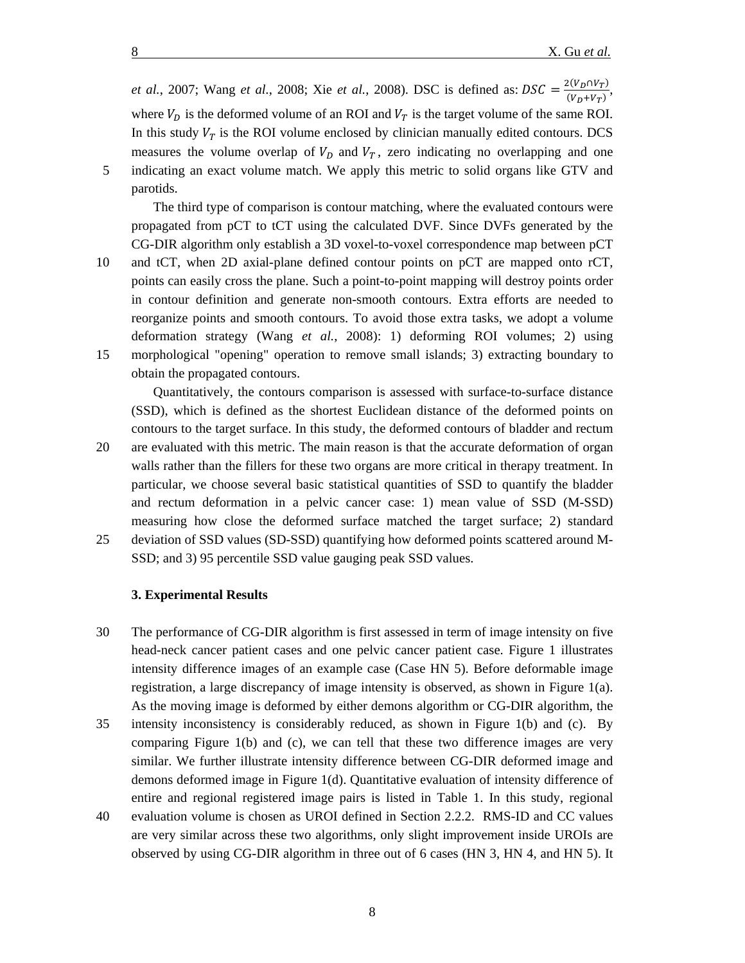*et al.*, 2007; Wang *et al.*[, 2008;](#page-14-2) Xie *et al.*[, 2008\)](#page-14-3). DSC is defined as:  $DSC = \frac{2(V_D \cap V_T)}{(V_D + V_T)}$ , where  $V_D$  is the deformed volume of an ROI and  $V_T$  is the target volume of the same ROI. In this study  $V_T$  is the ROI volume enclosed by clinician manually edited contours. DCS measures the volume overlap of  $V<sub>D</sub>$  and  $V<sub>T</sub>$ , zero indicating no overlapping and one 5 indicating an exact volume match. We apply this metric to solid organs like GTV and parotids.

The third type of comparison is contour matching, where the evaluated contours were propagated from pCT to tCT using the calculated DVF. Since DVFs generated by the CG-DIR algorithm only establish a 3D voxel-to-voxel correspondence map between pCT

10 and tCT, when 2D axial-plane defined contour points on pCT are mapped onto rCT, points can easily cross the plane. Such a point-to-point mapping will destroy points order in contour definition and generate non-smooth contours. Extra efforts are needed to reorganize points and smooth contours. To avoid those extra tasks, we adopt a volume deformation strategy (Wang *et al.*[, 2008\)](#page-14-2): 1) deforming ROI volumes; 2) using 15 morphological "opening" operation to remove small islands; 3) extracting boundary to obtain the propagated contours.

Quantitatively, the contours comparison is assessed with surface-to-surface distance (SSD), which is defined as the shortest Euclidean distance of the deformed points on contours to the target surface. In this study, the deformed contours of bladder and rectum

20 are evaluated with this metric. The main reason is that the accurate deformation of organ walls rather than the fillers for these two organs are more critical in therapy treatment. In particular, we choose several basic statistical quantities of SSD to quantify the bladder and rectum deformation in a pelvic cancer case: 1) mean value of SSD (M-SSD) measuring how close the deformed surface matched the target surface; 2) standard

25 deviation of SSD values (SD-SSD) quantifying how deformed points scattered around M-SSD; and 3) 95 percentile SSD value gauging peak SSD values.

## **3. Experimental Results**

- 30 The performance of CG-DIR algorithm is first assessed in term of image intensity on five head-neck cancer patient cases and one pelvic cancer patient case. Figure 1 illustrates intensity difference images of an example case (Case HN 5). Before deformable image registration, a large discrepancy of image intensity is observed, as shown in Figure 1(a). As the moving image is deformed by either demons algorithm or CG-DIR algorithm, the
- 35 intensity inconsistency is considerably reduced, as shown in Figure 1(b) and (c). By comparing Figure  $1(b)$  and (c), we can tell that these two difference images are very similar. We further illustrate intensity difference between CG-DIR deformed image and demons deformed image in Figure 1(d). Quantitative evaluation of intensity difference of entire and regional registered image pairs is listed in Table 1. In this study, regional
- 40 evaluation volume is chosen as UROI defined in Section 2.2.2. RMS-ID and CC values are very similar across these two algorithms, only slight improvement inside UROIs are observed by using CG-DIR algorithm in three out of 6 cases (HN 3, HN 4, and HN 5). It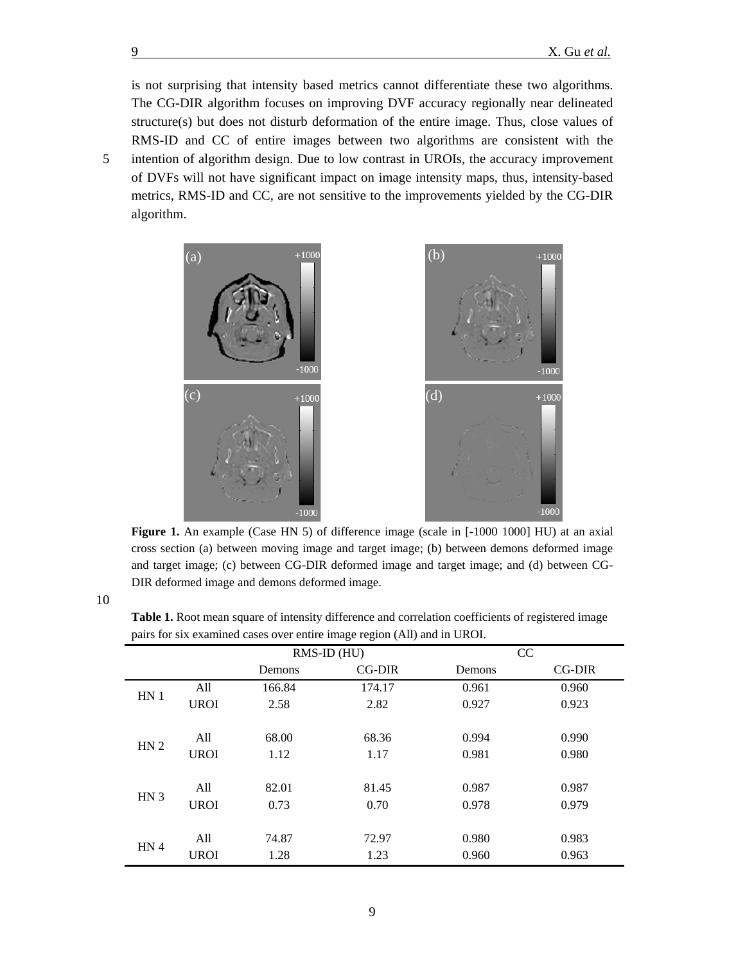is not surprising that intensity based metrics cannot differentiate these two algorithms. The CG-DIR algorithm focuses on improving DVF accuracy regionally near delineated structure(s) but does not disturb deformation of the entire image. Thus, close values of RMS-ID and CC of entire images between two algorithms are consistent with the 5 intention of algorithm design. Due to low contrast in UROIs, the accuracy improvement of DVFs will not have significant impact on image intensity maps, thus, intensity-based metrics, RMS-ID and CC, are not sensitive to the improvements yielded by the CG-DIR algorithm.



**Figure 1.** An example (Case HN 5) of difference image (scale in [-1000 1000] HU) at an axial cross section (a) between moving image and target image; (b) between demons deformed image and target image; (c) between CG-DIR deformed image and target image; and (d) between CG-DIR deformed image and demons deformed image.

**Table 1.** Root mean square of intensity difference and correlation coefficients of registered image pairs for six examined cases over entire image region (All) and in UROI.

|                 |             |        | RMS-ID (HU) |        | CC     |
|-----------------|-------------|--------|-------------|--------|--------|
|                 |             | Demons | $CG-DIR$    | Demons | CG-DIR |
|                 | All         | 166.84 | 174.17      | 0.961  | 0.960  |
| HN <sub>1</sub> | <b>UROI</b> | 2.58   | 2.82        | 0.927  | 0.923  |
|                 |             |        |             |        |        |
|                 | All         | 68.00  | 68.36       | 0.994  | 0.990  |
| HN <sub>2</sub> | <b>UROI</b> | 1.12   | 1.17        | 0.981  | 0.980  |
|                 |             |        |             |        |        |
|                 | All         | 82.01  | 81.45       | 0.987  | 0.987  |
| HN <sub>3</sub> | <b>UROI</b> | 0.73   | 0.70        | 0.978  | 0.979  |
|                 |             |        |             |        |        |
| HN <sub>4</sub> | All         | 74.87  | 72.97       | 0.980  | 0.983  |
|                 | <b>UROI</b> | 1.28   | 1.23        | 0.960  | 0.963  |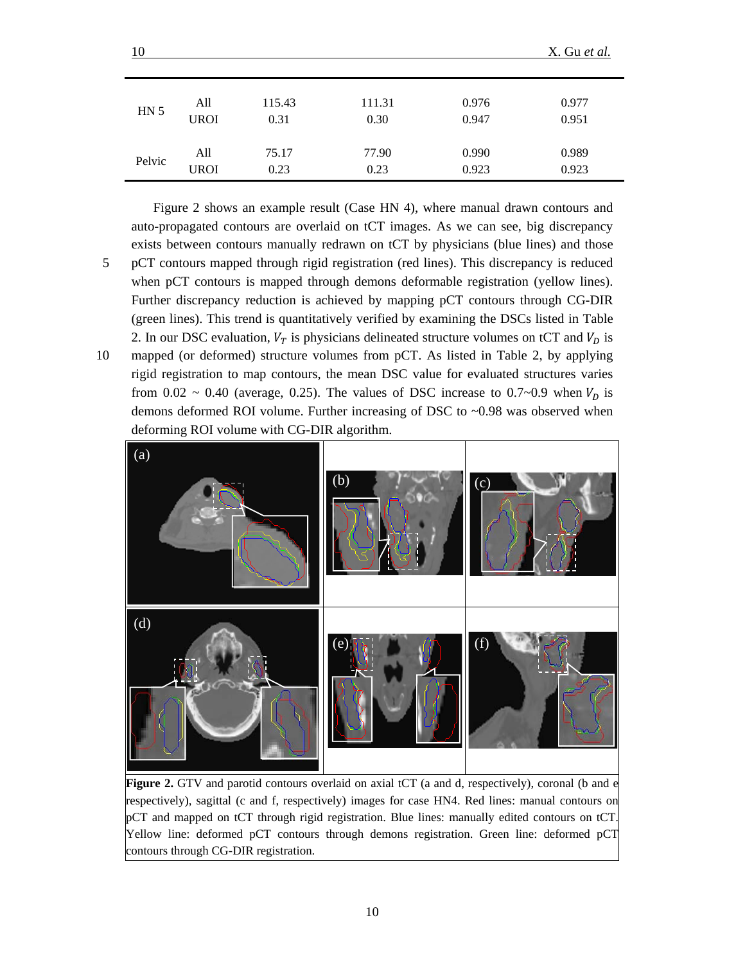| HN <sub>5</sub> | All         | 115.43 | 111.31 | 0.976 | 0.977 |
|-----------------|-------------|--------|--------|-------|-------|
|                 | <b>UROI</b> | 0.31   | 0.30   | 0.947 | 0.951 |
| Pelvic          | All         | 75.17  | 77.90  | 0.990 | 0.989 |
|                 | <b>UROI</b> | 0.23   | 0.23   | 0.923 | 0.923 |

Figure 2 shows an example result (Case HN 4), where manual drawn contours and auto-propagated contours are overlaid on tCT images. As we can see, big discrepancy exists between contours manually redrawn on tCT by physicians (blue lines) and those 5 pCT contours mapped through rigid registration (red lines). This discrepancy is reduced when pCT contours is mapped through demons deformable registration (yellow lines). Further discrepancy reduction is achieved by mapping pCT contours through CG-DIR (green lines). This trend is quantitatively verified by examining the DSCs listed in Table 2. In our DSC evaluation,  $V_T$  is physicians delineated structure volumes on tCT and  $V_D$  is 10 mapped (or deformed) structure volumes from pCT. As listed in Table 2, by applying rigid registration to map contours, the mean DSC value for evaluated structures varies from 0.02 ~ 0.40 (average, 0.25). The values of DSC increase to 0.7~0.9 when  $V_D$  is demons deformed ROI volume. Further increasing of DSC to ~0.98 was observed when deforming ROI volume with CG-DIR algorithm.



Figure 2. GTV and parotid contours overlaid on axial tCT (a and d, respectively), coronal (b and e respectively), sagittal (c and f, respectively) images for case HN4. Red lines: manual contours on pCT and mapped on tCT through rigid registration. Blue lines: manually edited contours on tCT. Yellow line: deformed pCT contours through demons registration. Green line: deformed pCT contours through CG-DIR registration.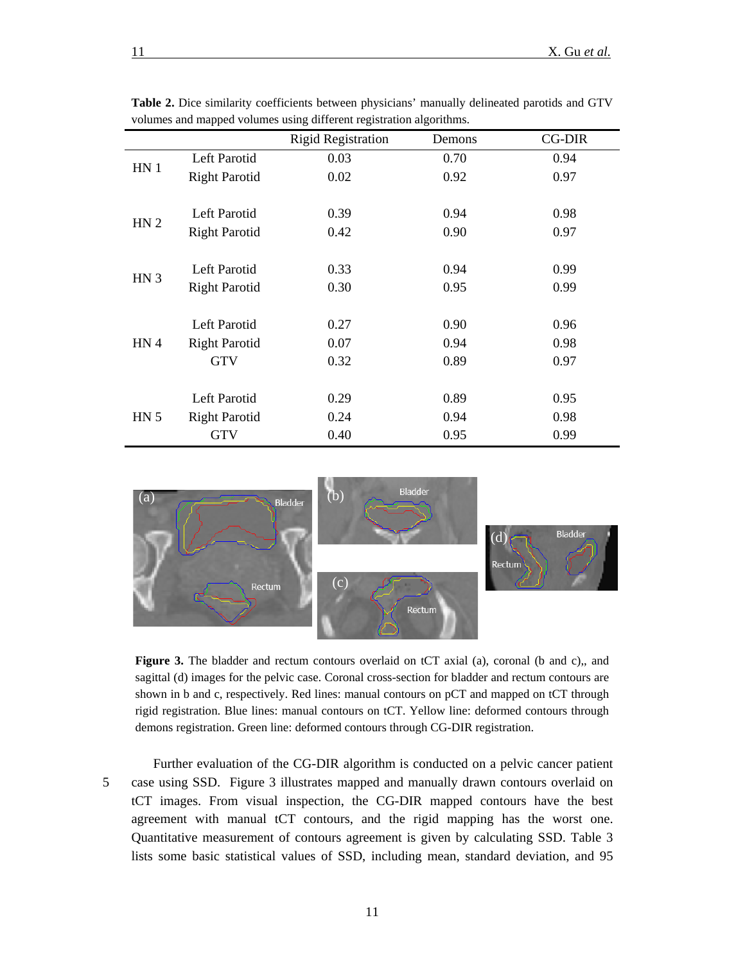|                 |                      | <b>Rigid Registration</b> | Demons | CG-DIR |
|-----------------|----------------------|---------------------------|--------|--------|
| HN <sub>1</sub> | Left Parotid         | 0.03                      | 0.70   | 0.94   |
|                 | <b>Right Parotid</b> | 0.02                      | 0.92   | 0.97   |
|                 |                      |                           |        |        |
| HN <sub>2</sub> | Left Parotid         | 0.39                      | 0.94   | 0.98   |
|                 | <b>Right Parotid</b> | 0.42                      | 0.90   | 0.97   |
|                 |                      |                           |        |        |
| HN <sub>3</sub> | Left Parotid         | 0.33                      | 0.94   | 0.99   |
|                 | <b>Right Parotid</b> | 0.30                      | 0.95   | 0.99   |
|                 |                      |                           |        |        |
| HN4             | Left Parotid         | 0.27                      | 0.90   | 0.96   |
|                 | <b>Right Parotid</b> | 0.07                      | 0.94   | 0.98   |
|                 | <b>GTV</b>           | 0.32                      | 0.89   | 0.97   |
|                 |                      |                           |        |        |
| HN <sub>5</sub> | Left Parotid         | 0.29                      | 0.89   | 0.95   |
|                 | <b>Right Parotid</b> | 0.24                      | 0.94   | 0.98   |
|                 | <b>GTV</b>           | 0.40                      | 0.95   | 0.99   |

**Table 2.** Dice similarity coefficients between physicians' manually delineated parotids and GTV volumes and mapped volumes using different registration algorithms.



Figure 3. The bladder and rectum contours overlaid on tCT axial (a), coronal (b and c),, and sagittal (d) images for the pelvic case. Coronal cross-section for bladder and rectum contours are shown in b and c, respectively. Red lines: manual contours on pCT and mapped on tCT through rigid registration. Blue lines: manual contours on tCT. Yellow line: deformed contours through demons registration. Green line: deformed contours through CG-DIR registration.

Further evaluation of the CG-DIR algorithm is conducted on a pelvic cancer patient 5 case using SSD. Figure 3 illustrates mapped and manually drawn contours overlaid on tCT images. From visual inspection, the CG-DIR mapped contours have the best agreement with manual tCT contours, and the rigid mapping has the worst one. Quantitative measurement of contours agreement is given by calculating SSD. Table 3 lists some basic statistical values of SSD, including mean, standard deviation, and 95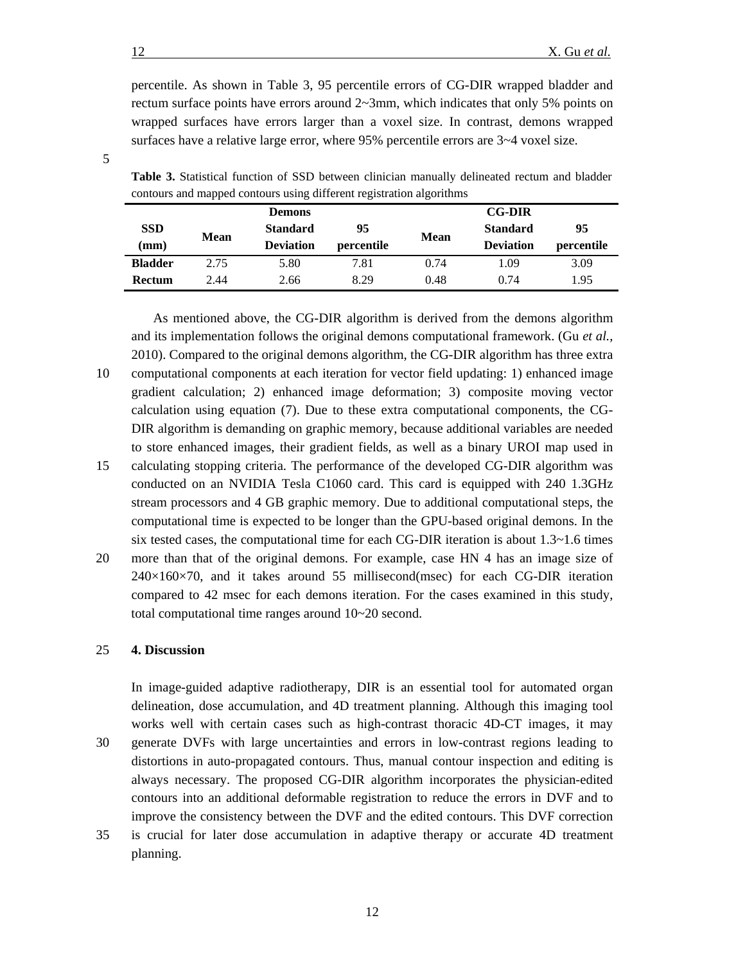percentile. As shown in Table 3, 95 percentile errors of CG-DIR wrapped bladder and rectum surface points have errors around  $2 \sim 3$ mm, which indicates that only 5% points on wrapped surfaces have errors larger than a voxel size. In contrast, demons wrapped surfaces have a relative large error, where 95% percentile errors are 3~4 voxel size.

|   | I<br>I<br>ï          |  |
|---|----------------------|--|
|   |                      |  |
| × | ۰.<br>۰.<br>۰,<br>۰. |  |
|   |                      |  |

|                                                                      |  |  | <b>Table 3.</b> Statistical function of SSD between clinician manually delineated rectum and bladder |  |  |
|----------------------------------------------------------------------|--|--|------------------------------------------------------------------------------------------------------|--|--|
| contours and mapped contours using different registration algorithms |  |  |                                                                                                      |  |  |

|                 |             | <b>Demons</b>    |            |             | <b>CG-DIR</b>    |            |
|-----------------|-------------|------------------|------------|-------------|------------------|------------|
| <b>SSD</b>      |             | <b>Standard</b>  | 95         |             | <b>Standard</b>  | 95         |
| $(\mathbf{mm})$ | <b>Mean</b> | <b>Deviation</b> | percentile | <b>Mean</b> | <b>Deviation</b> | percentile |
| <b>Bladder</b>  | 2.75        | 5.80             | 7.81       | 0.74        | 1.09             | 3.09       |
| <b>Rectum</b>   | 2.44        | 2.66             | 8.29       | 0.48        | 0.74             | 1.95       |

As mentioned above, the CG-DIR algorithm is derived from the demons algorithm and its implementation follows the original demons computational framework. (Gu *[et al.](#page-13-12)*, [2010\)](#page-13-12). Compared to the original demons algorithm, the CG-DIR algorithm has three extra

- 
- 10 computational components at each iteration for vector field updating: 1) enhanced image gradient calculation; 2) enhanced image deformation; 3) composite moving vector calculation using equation (7). Due to these extra computational components, the CG-DIR algorithm is demanding on graphic memory, because additional variables are needed to store enhanced images, their gradient fields, as well as a binary UROI map used in 15 calculating stopping criteria. The performance of the developed CG-DIR algorithm was
- conducted on an NVIDIA Tesla C1060 card. This card is equipped with 240 1.3GHz stream processors and 4 GB graphic memory. Due to additional computational steps, the computational time is expected to be longer than the GPU-based original demons. In the six tested cases, the computational time for each CG-DIR iteration is about  $1.3 \sim 1.6$  times
- 20 more than that of the original demons. For example, case HN 4 has an image size of  $240\times160\times70$ , and it takes around 55 millisecond(msec) for each CG-DIR iteration compared to 42 msec for each demons iteration. For the cases examined in this study, total computational time ranges around 10~20 second.

# 25 **4. Discussion**

In image-guided adaptive radiotherapy, DIR is an essential tool for automated organ delineation, dose accumulation, and 4D treatment planning. Although this imaging tool works well with certain cases such as high-contrast thoracic 4D-CT images, it may 30 generate DVFs with large uncertainties and errors in low-contrast regions leading to distortions in auto-propagated contours. Thus, manual contour inspection and editing is always necessary. The proposed CG-DIR algorithm incorporates the physician-edited contours into an additional deformable registration to reduce the errors in DVF and to improve the consistency between the DVF and the edited contours. This DVF correction

35 is crucial for later dose accumulation in adaptive therapy or accurate 4D treatment planning.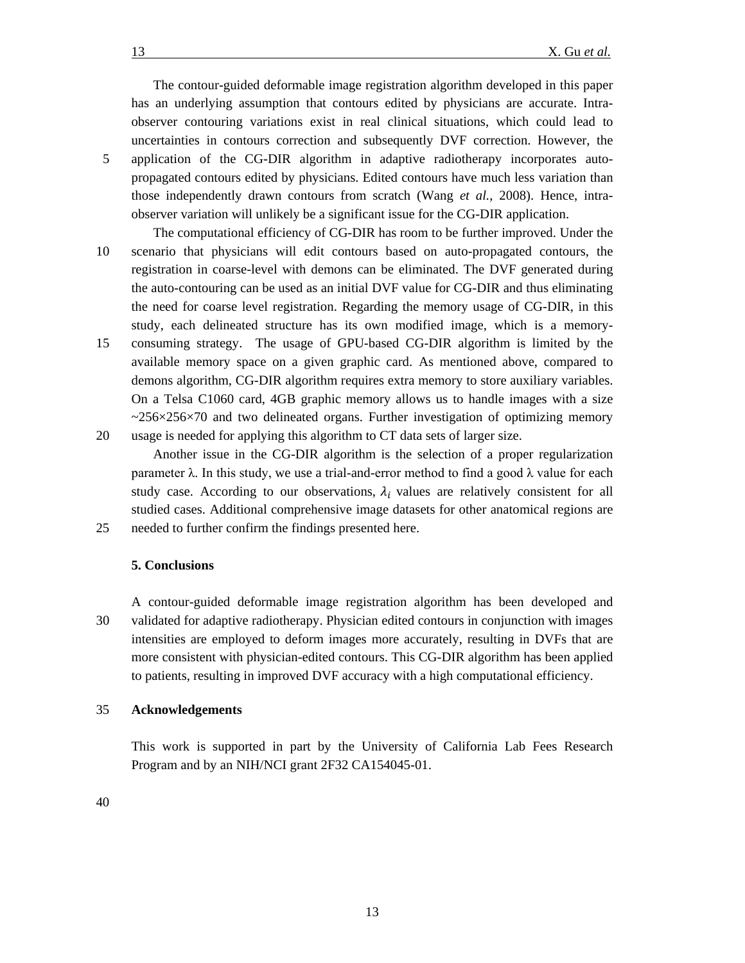The contour-guided deformable image registration algorithm developed in this paper has an underlying assumption that contours edited by physicians are accurate. Intraobserver contouring variations exist in real clinical situations, which could lead to uncertainties in contours correction and subsequently DVF correction. However, the 5 application of the CG-DIR algorithm in adaptive radiotherapy incorporates autopropagated contours edited by physicians. Edited contours have much less variation than those independently drawn contours from scratch (Wang *et al.*[, 2008\)](#page-14-2). Hence, intraobserver variation will unlikely be a significant issue for the CG-DIR application.

The computational efficiency of CG-DIR has room to be further improved. Under the 10 scenario that physicians will edit contours based on auto-propagated contours, the registration in coarse-level with demons can be eliminated. The DVF generated during the auto-contouring can be used as an initial DVF value for CG-DIR and thus eliminating the need for coarse level registration. Regarding the memory usage of CG-DIR, in this study, each delineated structure has its own modified image, which is a memory-15 consuming strategy. The usage of GPU-based CG-DIR algorithm is limited by the available memory space on a given graphic card. As mentioned above, compared to demons algorithm, CG-DIR algorithm requires extra memory to store auxiliary variables. On a Telsa C1060 card, 4GB graphic memory allows us to handle images with a size  $\approx$  256 $\times$ 256 $\times$ 70 and two delineated organs. Further investigation of optimizing memory

20 usage is needed for applying this algorithm to CT data sets of larger size.

Another issue in the CG-DIR algorithm is the selection of a proper regularization parameter  $\lambda$ . In this study, we use a trial-and-error method to find a good  $\lambda$  value for each study case. According to our observations,  $\lambda_i$  values are relatively consistent for all studied cases. Additional comprehensive image datasets for other anatomical regions are 25 needed to further confirm the findings presented here.

## **5. Conclusions**

A contour-guided deformable image registration algorithm has been developed and 30 validated for adaptive radiotherapy. Physician edited contours in conjunction with images intensities are employed to deform images more accurately, resulting in DVFs that are more consistent with physician-edited contours. This CG-DIR algorithm has been applied to patients, resulting in improved DVF accuracy with a high computational efficiency.

## 35 **Acknowledgements**

This work is supported in part by the University of California Lab Fees Research Program and by an NIH/NCI grant 2F32 CA154045-01.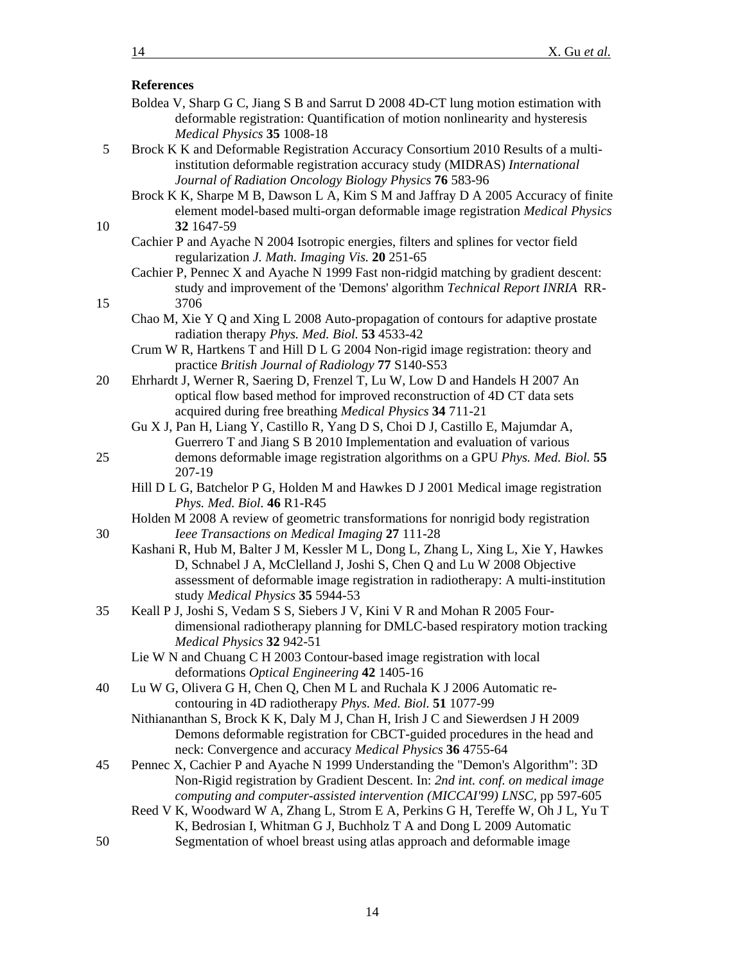# **References**

- <span id="page-13-5"></span>Boldea V, Sharp G C, Jiang S B and Sarrut D 2008 4D-CT lung motion estimation with deformable registration: Quantification of motion nonlinearity and hysteresis *Medical Physics* **35** 1008-18
- <span id="page-13-10"></span>5 Brock K K and Deformable Registration Accuracy Consortium 2010 Results of a multiinstitution deformable registration accuracy study (MIDRAS) *International Journal of Radiation Oncology Biology Physics* **76** 583-96
- <span id="page-13-2"></span>Brock K K, Sharpe M B, Dawson L A, Kim S M and Jaffray D A 2005 Accuracy of finite element model-based multi-organ deformable image registration *Medical Physics* 10 **32** 1647-59
	- Cachier P and Ayache N 2004 Isotropic energies, filters and splines for vector field regularization *J. Math. Imaging Vis.* **20** 251-65
- <span id="page-13-17"></span>Cachier P, Pennec X and Ayache N 1999 Fast non-ridgid matching by gradient descent: study and improvement of the 'Demons' algorithm *Technical Report INRIA* RR-15 3706
	- Chao M, Xie Y Q and Xing L 2008 Auto-propagation of contours for adaptive prostate radiation therapy *Phys. Med. Biol.* **53** 4533-42
	- Crum W R, Hartkens T and Hill D L G 2004 Non-rigid image registration: theory and practice *British Journal of Radiology* **77** S140-S53
- <span id="page-13-6"></span>20 Ehrhardt J, Werner R, Saering D, Frenzel T, Lu W, Low D and Handels H 2007 An optical flow based method for improved reconstruction of 4D CT data sets acquired during free breathing *Medical Physics* **34** 711-21
- <span id="page-13-12"></span>Gu X J, Pan H, Liang Y, Castillo R, Yang D S, Choi D J, Castillo E, Majumdar A, Guerrero T and Jiang S B 2010 Implementation and evaluation of various 25 demons deformable image registration algorithms on a GPU *Phys. Med. Biol.* **55** 207-19
	- Hill D L G, Batchelor P G, Holden M and Hawkes D J 2001 Medical image registration *Phys. Med. Biol.* **46** R1-R45
- <span id="page-13-9"></span><span id="page-13-8"></span><span id="page-13-0"></span>Holden M 2008 A review of geometric transformations for nonrigid body registration 30 *Ieee Transactions on Medical Imaging* **27** 111-28
	- Kashani R, Hub M, Balter J M, Kessler M L, Dong L, Zhang L, Xing L, Xie Y, Hawkes D, Schnabel J A, McClelland J, Joshi S, Chen Q and Lu W 2008 Objective assessment of deformable image registration in radiotherapy: A multi-institution study *Medical Physics* **35** 5944-53
- <span id="page-13-7"></span>35 Keall P J, Joshi S, Vedam S S, Siebers J V, Kini V R and Mohan R 2005 Fourdimensional radiotherapy planning for DMLC-based respiratory motion tracking *Medical Physics* **32** 942-51
	- Lie W N and Chuang C H 2003 Contour-based image registration with local deformations *Optical Engineering* **42** 1405-16
- <span id="page-13-15"></span><span id="page-13-13"></span><span id="page-13-3"></span>40 Lu W G, Olivera G H, Chen Q, Chen M L and Ruchala K J 2006 Automatic recontouring in 4D radiotherapy *Phys. Med. Biol.* **51** 1077-99
	- Nithiananthan S, Brock K K, Daly M J, Chan H, Irish J C and Siewerdsen J H 2009 Demons deformable registration for CBCT-guided procedures in the head and neck: Convergence and accuracy *Medical Physics* **36** 4755-64
- <span id="page-13-11"></span>45 Pennec X, Cachier P and Ayache N 1999 Understanding the "Demon's Algorithm": 3D Non-Rigid registration by Gradient Descent. In: *2nd int. conf. on medical image computing and computer-assisted intervention (MICCAI'99) LNSC,* pp 597-605
- <span id="page-13-14"></span>Reed V K, Woodward W A, Zhang L, Strom E A, Perkins G H, Tereffe W, Oh J L, Yu T K, Bedrosian I, Whitman G J, Buchholz T A and Dong L 2009 Automatic 50 Segmentation of whoel breast using atlas approach and deformable image

<span id="page-13-16"></span>

<span id="page-13-4"></span><span id="page-13-1"></span>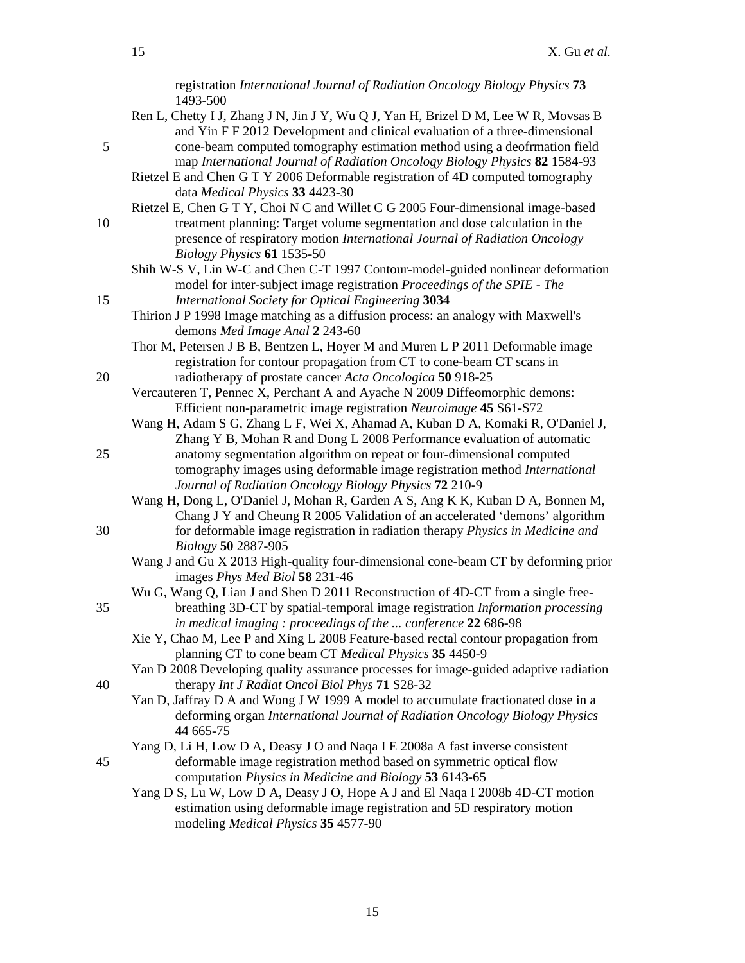<span id="page-14-15"></span><span id="page-14-14"></span><span id="page-14-13"></span><span id="page-14-12"></span><span id="page-14-11"></span><span id="page-14-10"></span><span id="page-14-9"></span><span id="page-14-8"></span><span id="page-14-7"></span><span id="page-14-6"></span><span id="page-14-5"></span><span id="page-14-4"></span><span id="page-14-3"></span><span id="page-14-2"></span><span id="page-14-1"></span><span id="page-14-0"></span>

|    | registration International Journal of Radiation Oncology Biology Physics 73<br>1493-500                                                                            |
|----|--------------------------------------------------------------------------------------------------------------------------------------------------------------------|
|    | Ren L, Chetty I J, Zhang J N, Jin J Y, Wu Q J, Yan H, Brizel D M, Lee W R, Movsas B<br>and Yin F F 2012 Development and clinical evaluation of a three-dimensional |
| 5  | cone-beam computed tomography estimation method using a deofrmation field                                                                                          |
|    | map International Journal of Radiation Oncology Biology Physics 82 1584-93                                                                                         |
|    | Rietzel E and Chen G T Y 2006 Deformable registration of 4D computed tomography                                                                                    |
|    | data Medical Physics 33 4423-30                                                                                                                                    |
|    | Rietzel E, Chen G T Y, Choi N C and Willet C G 2005 Four-dimensional image-based                                                                                   |
| 10 | treatment planning: Target volume segmentation and dose calculation in the                                                                                         |
|    | presence of respiratory motion International Journal of Radiation Oncology                                                                                         |
|    | Biology Physics 61 1535-50                                                                                                                                         |
|    | Shih W-S V, Lin W-C and Chen C-T 1997 Contour-model-guided nonlinear deformation                                                                                   |
|    | model for inter-subject image registration Proceedings of the SPIE - The                                                                                           |
| 15 | International Society for Optical Engineering 3034                                                                                                                 |
|    | Thirion J P 1998 Image matching as a diffusion process: an analogy with Maxwell's                                                                                  |
|    | demons Med Image Anal 2 243-60                                                                                                                                     |
|    | Thor M, Petersen J B B, Bentzen L, Hoyer M and Muren L P 2011 Deformable image                                                                                     |
|    | registration for contour propagation from CT to cone-beam CT scans in                                                                                              |
| 20 | radiotherapy of prostate cancer Acta Oncologica 50 918-25                                                                                                          |
|    | Vercauteren T, Pennec X, Perchant A and Ayache N 2009 Diffeomorphic demons:<br>Efficient non-parametric image registration Neuroimage 45 S61-S72                   |
|    | Wang H, Adam S G, Zhang L F, Wei X, Ahamad A, Kuban D A, Komaki R, O'Daniel J,                                                                                     |
|    | Zhang Y B, Mohan R and Dong L 2008 Performance evaluation of automatic                                                                                             |
| 25 | anatomy segmentation algorithm on repeat or four-dimensional computed                                                                                              |
|    | tomography images using deformable image registration method International                                                                                         |
|    | Journal of Radiation Oncology Biology Physics 72 210-9                                                                                                             |
|    | Wang H, Dong L, O'Daniel J, Mohan R, Garden A S, Ang K K, Kuban D A, Bonnen M,                                                                                     |
|    | Chang J Y and Cheung R 2005 Validation of an accelerated 'demons' algorithm                                                                                        |
| 30 | for deformable image registration in radiation therapy Physics in Medicine and                                                                                     |
|    | Biology 50 2887-905                                                                                                                                                |
|    | Wang J and Gu X 2013 High-quality four-dimensional cone-beam CT by deforming prior                                                                                 |
|    | images Phys Med Biol 58 231-46<br>Wu G, Wang Q, Lian J and Shen D 2011 Reconstruction of 4D-CT from a single free-                                                 |
| 35 | breathing 3D-CT by spatial-temporal image registration Information processing                                                                                      |
|    | in medical imaging : proceedings of the  conference 22 686-98                                                                                                      |
|    | Xie Y, Chao M, Lee P and Xing L 2008 Feature-based rectal contour propagation from                                                                                 |
|    | planning CT to cone beam CT Medical Physics 35 4450-9                                                                                                              |
|    | Yan D 2008 Developing quality assurance processes for image-guided adaptive radiation                                                                              |
| 40 | therapy Int J Radiat Oncol Biol Phys 71 S28-32                                                                                                                     |
|    | Yan D, Jaffray D A and Wong J W 1999 A model to accumulate fractionated dose in a                                                                                  |
|    | deforming organ International Journal of Radiation Oncology Biology Physics                                                                                        |
|    | 44 665-75                                                                                                                                                          |
|    | Yang D, Li H, Low D A, Deasy J O and Naqa I E 2008a A fast inverse consistent                                                                                      |
| 45 | deformable image registration method based on symmetric optical flow                                                                                               |
|    | computation <i>Physics in Medicine and Biology</i> 53 6143-65<br>Yang D S, Lu W, Low D A, Deasy J O, Hope A J and El Naqa I 2008b 4D-CT motion                     |
|    | estimation using deformable image registration and 5D respiratory motion                                                                                           |
|    | modeling Medical Physics 35 4577-90                                                                                                                                |
|    |                                                                                                                                                                    |